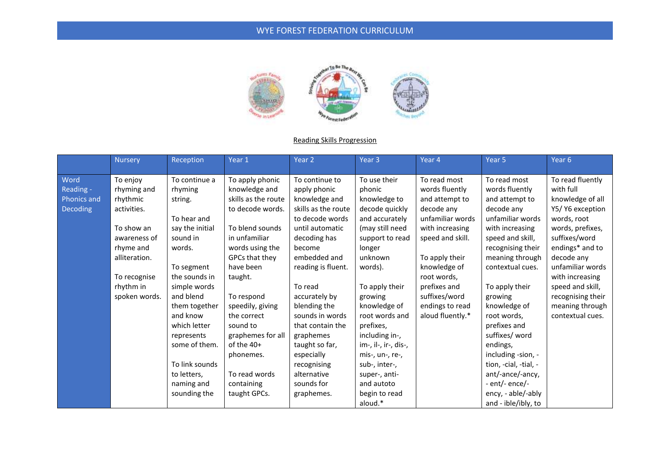

#### Reading Skills Progression

|                                                     | <b>Nursery</b>                                                                                                                                               | Reception                                                                                                                                                                                            | Year 1                                                                                                                                                                                                                                    | Year 2                                                                                                                                                                                                                                                          | Year <sub>3</sub>                                                                                                                                                                                                            | Year 4                                                                                                                                                                                                                                             | Year 5                                                                                                                                                                                                                                                            | Year 6                                                                                                                                                                                                                                                                            |
|-----------------------------------------------------|--------------------------------------------------------------------------------------------------------------------------------------------------------------|------------------------------------------------------------------------------------------------------------------------------------------------------------------------------------------------------|-------------------------------------------------------------------------------------------------------------------------------------------------------------------------------------------------------------------------------------------|-----------------------------------------------------------------------------------------------------------------------------------------------------------------------------------------------------------------------------------------------------------------|------------------------------------------------------------------------------------------------------------------------------------------------------------------------------------------------------------------------------|----------------------------------------------------------------------------------------------------------------------------------------------------------------------------------------------------------------------------------------------------|-------------------------------------------------------------------------------------------------------------------------------------------------------------------------------------------------------------------------------------------------------------------|-----------------------------------------------------------------------------------------------------------------------------------------------------------------------------------------------------------------------------------------------------------------------------------|
| Word<br>Reading -<br><b>Phonics and</b><br>Decoding | To enjoy<br>rhyming and<br>rhythmic<br>activities.<br>To show an<br>awareness of<br>rhyme and<br>alliteration.<br>To recognise<br>rhythm in<br>spoken words. | To continue a<br>rhyming<br>string.<br>To hear and<br>say the initial<br>sound in<br>words.<br>To segment<br>the sounds in<br>simple words<br>and blend<br>them together<br>and know<br>which letter | To apply phonic<br>knowledge and<br>skills as the route<br>to decode words.<br>To blend sounds<br>in unfamiliar<br>words using the<br>GPCs that they<br>have been<br>taught.<br>To respond<br>speedily, giving<br>the correct<br>sound to | To continue to<br>apply phonic<br>knowledge and<br>skills as the route<br>to decode words<br>until automatic<br>decoding has<br>become<br>embedded and<br>reading is fluent.<br>To read<br>accurately by<br>blending the<br>sounds in words<br>that contain the | To use their<br>phonic<br>knowledge to<br>decode quickly<br>and accurately<br>(may still need<br>support to read<br>longer<br>unknown<br>words).<br>To apply their<br>growing<br>knowledge of<br>root words and<br>prefixes, | To read most<br>words fluently<br>and attempt to<br>decode any<br>unfamiliar words<br>with increasing<br>speed and skill.<br>To apply their<br>knowledge of<br>root words,<br>prefixes and<br>suffixes/word<br>endings to read<br>aloud fluently.* | To read most<br>words fluently<br>and attempt to<br>decode anv<br>unfamiliar words<br>with increasing<br>speed and skill,<br>recognising their<br>meaning through<br>contextual cues.<br>To apply their<br>growing<br>knowledge of<br>root words,<br>prefixes and | To read fluently<br>with full<br>knowledge of all<br>Y5/ Y6 exception<br>words, root<br>words, prefixes,<br>suffixes/word<br>endings* and to<br>decode any<br>unfamiliar words<br>with increasing<br>speed and skill,<br>recognising their<br>meaning through<br>contextual cues. |
|                                                     |                                                                                                                                                              | represents<br>some of them.<br>To link sounds<br>to letters,<br>naming and<br>sounding the                                                                                                           | graphemes for all<br>of the $40+$<br>phonemes.<br>To read words<br>containing<br>taught GPCs.                                                                                                                                             | graphemes<br>taught so far,<br>especially<br>recognising<br>alternative<br>sounds for<br>graphemes.                                                                                                                                                             | including in-,<br>im-, il-, ir-, dis-,<br>mis-, un-, re-,<br>sub-, inter-,<br>super-, anti-<br>and autoto<br>begin to read<br>aloud.*                                                                                        |                                                                                                                                                                                                                                                    | suffixes/ word<br>endings,<br>including -sion, -<br>tion, -cial, -tial, -<br>ant/-ance/-ancy,<br>- ent/- ence/-<br>ency, - able/-ably<br>and - ible/ibly, to                                                                                                      |                                                                                                                                                                                                                                                                                   |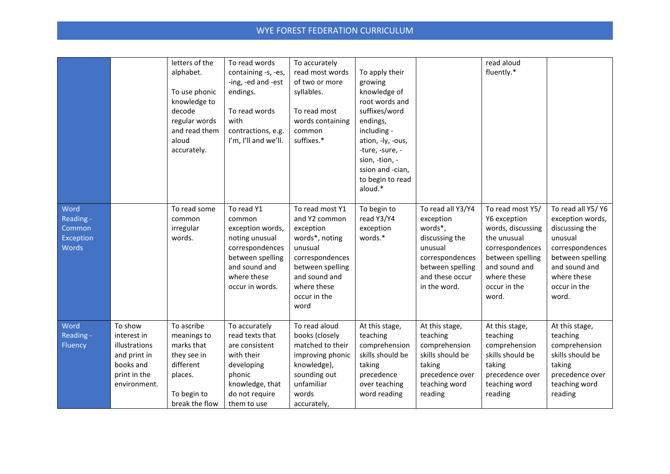|                                                   |                                                                                                      | letters of the<br>alphabet.<br>To use phonic<br>knowledge to<br>decode<br>regular words<br>and read them<br>aloud<br>accurately. | To read words<br>containing -s, -es,<br>-ing, -ed and -est<br>endings.<br>To read words<br>with<br>contractions, e.g.<br>I'm, I'll and we'll.        | To accurately<br>read most words<br>of two or more<br>syllables.<br>To read most<br>words containing<br>common<br>suffixes.*                                              | To apply their<br>growing<br>knowledge of<br>root words and<br>suffixes/word<br>endings,<br>including -<br>ation, -ly, -ous,<br>-ture, -sure, -<br>sion, -tion, -<br>ssion and -cian,<br>to begin to read<br>aloud.* |                                                                                                                                                  | read aloud<br>fluently.*                                                                                                                                             |                                                                                                                                                                     |
|---------------------------------------------------|------------------------------------------------------------------------------------------------------|----------------------------------------------------------------------------------------------------------------------------------|------------------------------------------------------------------------------------------------------------------------------------------------------|---------------------------------------------------------------------------------------------------------------------------------------------------------------------------|----------------------------------------------------------------------------------------------------------------------------------------------------------------------------------------------------------------------|--------------------------------------------------------------------------------------------------------------------------------------------------|----------------------------------------------------------------------------------------------------------------------------------------------------------------------|---------------------------------------------------------------------------------------------------------------------------------------------------------------------|
| Word<br>Reading -<br>Common<br>Exception<br>Words |                                                                                                      | To read some<br>common<br>irregular<br>words.                                                                                    | To read Y1<br>common<br>exception words,<br>noting unusual<br>correspondences<br>between spelling<br>and sound and<br>where these<br>occur in words. | To read most Y1<br>and Y2 common<br>exception<br>words*, noting<br>unusual<br>correspondences<br>between spelling<br>and sound and<br>where these<br>occur in the<br>word | To begin to<br>read Y3/Y4<br>exception<br>words.*                                                                                                                                                                    | To read all Y3/Y4<br>exception<br>words*,<br>discussing the<br>unusual<br>correspondences<br>between spelling<br>and these occur<br>in the word. | To read most Y5/<br>Y6 exception<br>words, discussing<br>the unusual<br>correspondences<br>between spelling<br>and sound and<br>where these<br>occur in the<br>word. | To read all Y5/ Y6<br>exception words,<br>discussing the<br>unusual<br>correspondences<br>between spelling<br>and sound and<br>where these<br>occur in the<br>word. |
| Word<br>Reading -<br>Fluency                      | To show<br>interest in<br>illustrations<br>and print in<br>books and<br>print in the<br>environment. | To ascribe<br>meanings to<br>marks that<br>they see in<br>different<br>places.<br>To begin to<br>break the flow                  | To accurately<br>read texts that<br>are consistent<br>with their<br>developing<br>phonic<br>knowledge, that<br>do not require<br>them to use         | To read aloud<br>books (closely<br>matched to their<br>improving phonic<br>knowledge),<br>sounding out<br>unfamiliar<br>words<br>accurately,                              | At this stage,<br>teaching<br>comprehension<br>skills should be<br>taking<br>precedence<br>over teaching<br>word reading                                                                                             | At this stage,<br>teaching<br>comprehension<br>skills should be<br>taking<br>precedence over<br>teaching word<br>reading                         | At this stage,<br>teaching<br>comprehension<br>skills should be<br>taking<br>precedence over<br>teaching word<br>reading                                             | At this stage,<br>teaching<br>comprehension<br>skills should be<br>taking<br>precedence over<br>teaching word<br>reading                                            |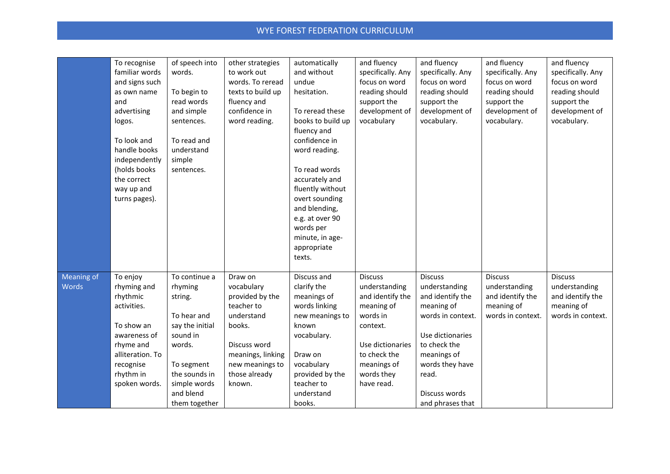|                     | To recognise<br>familiar words<br>and signs such<br>as own name<br>and<br>advertising<br>logos.<br>To look and<br>handle books<br>independently<br>(holds books<br>the correct<br>way up and<br>turns pages). | of speech into<br>words.<br>To begin to<br>read words<br>and simple<br>sentences.<br>To read and<br>understand<br>simple<br>sentences.                                   | other strategies<br>to work out<br>words. To reread<br>texts to build up<br>fluency and<br>confidence in<br>word reading.                                         | automatically<br>and without<br>undue<br>hesitation.<br>To reread these<br>books to build up<br>fluency and<br>confidence in<br>word reading.<br>To read words<br>accurately and<br>fluently without<br>overt sounding<br>and blending,<br>e.g. at over 90<br>words per<br>minute, in age-<br>appropriate<br>texts. | and fluency<br>specifically. Any<br>focus on word<br>reading should<br>support the<br>development of<br>vocabulary                                                       | and fluency<br>specifically. Any<br>focus on word<br>reading should<br>support the<br>development of<br>vocabulary.                                                                                        | and fluency<br>specifically. Any<br>focus on word<br>reading should<br>support the<br>development of<br>vocabulary. | and fluency<br>specifically. Any<br>focus on word<br>reading should<br>support the<br>development of<br>vocabulary. |
|---------------------|---------------------------------------------------------------------------------------------------------------------------------------------------------------------------------------------------------------|--------------------------------------------------------------------------------------------------------------------------------------------------------------------------|-------------------------------------------------------------------------------------------------------------------------------------------------------------------|---------------------------------------------------------------------------------------------------------------------------------------------------------------------------------------------------------------------------------------------------------------------------------------------------------------------|--------------------------------------------------------------------------------------------------------------------------------------------------------------------------|------------------------------------------------------------------------------------------------------------------------------------------------------------------------------------------------------------|---------------------------------------------------------------------------------------------------------------------|---------------------------------------------------------------------------------------------------------------------|
| Meaning of<br>Words | To enjoy<br>rhyming and<br>rhythmic<br>activities.<br>To show an<br>awareness of<br>rhyme and<br>alliteration. To<br>recognise<br>rhythm in<br>spoken words.                                                  | To continue a<br>rhyming<br>string.<br>To hear and<br>say the initial<br>sound in<br>words.<br>To segment<br>the sounds in<br>simple words<br>and blend<br>them together | Draw on<br>vocabulary<br>provided by the<br>teacher to<br>understand<br>books.<br>Discuss word<br>meanings, linking<br>new meanings to<br>those already<br>known. | Discuss and<br>clarify the<br>meanings of<br>words linking<br>new meanings to<br>known<br>vocabulary.<br>Draw on<br>vocabulary<br>provided by the<br>teacher to<br>understand<br>books.                                                                                                                             | <b>Discuss</b><br>understanding<br>and identify the<br>meaning of<br>words in<br>context.<br>Use dictionaries<br>to check the<br>meanings of<br>words they<br>have read. | <b>Discuss</b><br>understanding<br>and identify the<br>meaning of<br>words in context.<br>Use dictionaries<br>to check the<br>meanings of<br>words they have<br>read.<br>Discuss words<br>and phrases that | <b>Discuss</b><br>understanding<br>and identify the<br>meaning of<br>words in context.                              | <b>Discuss</b><br>understanding<br>and identify the<br>meaning of<br>words in context.                              |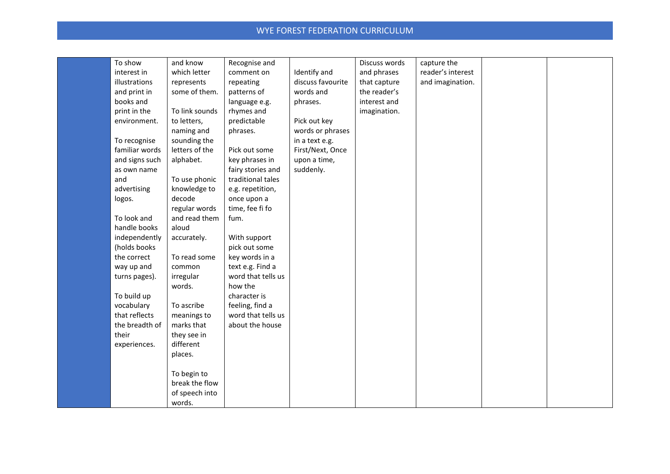| To show        | and know       | Recognise and      |                   | Discuss words | capture the       |  |
|----------------|----------------|--------------------|-------------------|---------------|-------------------|--|
| interest in    | which letter   | comment on         | Identify and      | and phrases   | reader's interest |  |
| illustrations  | represents     | repeating          | discuss favourite | that capture  | and imagination.  |  |
| and print in   | some of them.  | patterns of        | words and         | the reader's  |                   |  |
| books and      |                | language e.g.      | phrases.          | interest and  |                   |  |
| print in the   | To link sounds | rhymes and         |                   | imagination.  |                   |  |
| environment.   | to letters,    | predictable        | Pick out key      |               |                   |  |
|                | naming and     | phrases.           | words or phrases  |               |                   |  |
| To recognise   | sounding the   |                    | in a text e.g.    |               |                   |  |
| familiar words | letters of the | Pick out some      | First/Next, Once  |               |                   |  |
| and signs such | alphabet.      | key phrases in     | upon a time,      |               |                   |  |
| as own name    |                | fairy stories and  | suddenly.         |               |                   |  |
| and            | To use phonic  | traditional tales  |                   |               |                   |  |
| advertising    | knowledge to   | e.g. repetition,   |                   |               |                   |  |
| logos.         | decode         | once upon a        |                   |               |                   |  |
|                | regular words  | time, fee fi fo    |                   |               |                   |  |
| To look and    | and read them  | fum.               |                   |               |                   |  |
| handle books   | aloud          |                    |                   |               |                   |  |
| independently  | accurately.    | With support       |                   |               |                   |  |
| (holds books   |                | pick out some      |                   |               |                   |  |
| the correct    | To read some   | key words in a     |                   |               |                   |  |
| way up and     | common         | text e.g. Find a   |                   |               |                   |  |
| turns pages).  | irregular      | word that tells us |                   |               |                   |  |
|                | words.         | how the            |                   |               |                   |  |
| To build up    |                | character is       |                   |               |                   |  |
| vocabulary     | To ascribe     | feeling, find a    |                   |               |                   |  |
| that reflects  | meanings to    | word that tells us |                   |               |                   |  |
| the breadth of | marks that     | about the house    |                   |               |                   |  |
| their          | they see in    |                    |                   |               |                   |  |
| experiences.   | different      |                    |                   |               |                   |  |
|                | places.        |                    |                   |               |                   |  |
|                |                |                    |                   |               |                   |  |
|                | To begin to    |                    |                   |               |                   |  |
|                | break the flow |                    |                   |               |                   |  |
|                | of speech into |                    |                   |               |                   |  |
|                | words.         |                    |                   |               |                   |  |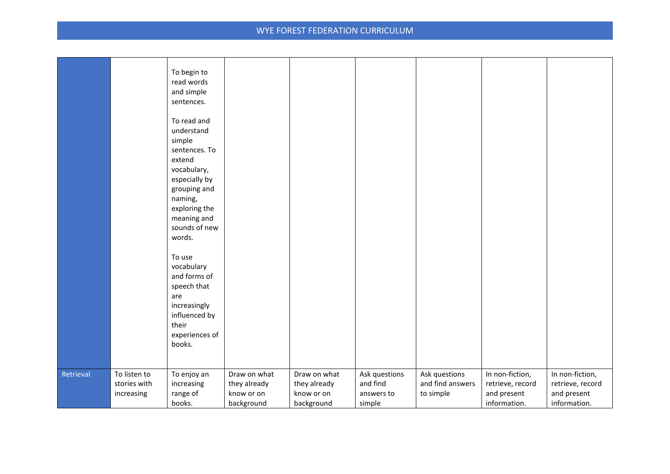|           |                                            | To begin to<br>read words<br>and simple<br>sentences.<br>To read and<br>understand<br>simple<br>sentences. To<br>extend<br>vocabulary,<br>especially by<br>grouping and<br>naming,<br>exploring the<br>meaning and<br>sounds of new<br>words.<br>To use<br>vocabulary<br>and forms of<br>speech that<br>are<br>increasingly<br>influenced by<br>their<br>experiences of<br>books. |                                                          |                                                          |                                                   |                                                |                                                                    |                                                                    |
|-----------|--------------------------------------------|-----------------------------------------------------------------------------------------------------------------------------------------------------------------------------------------------------------------------------------------------------------------------------------------------------------------------------------------------------------------------------------|----------------------------------------------------------|----------------------------------------------------------|---------------------------------------------------|------------------------------------------------|--------------------------------------------------------------------|--------------------------------------------------------------------|
| Retrieval | To listen to<br>stories with<br>increasing | To enjoy an<br>increasing<br>range of<br>books.                                                                                                                                                                                                                                                                                                                                   | Draw on what<br>they already<br>know or on<br>background | Draw on what<br>they already<br>know or on<br>background | Ask questions<br>and find<br>answers to<br>simple | Ask questions<br>and find answers<br>to simple | In non-fiction,<br>retrieve, record<br>and present<br>information. | In non-fiction,<br>retrieve, record<br>and present<br>information. |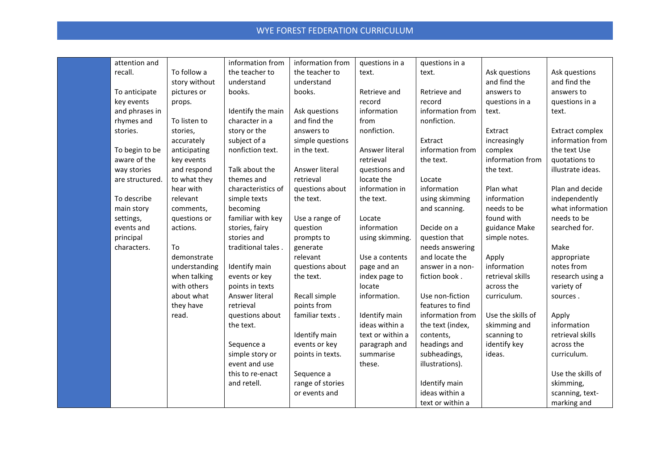| attention and   |               | information from   | information from | questions in a   | questions in a   |                   |                   |
|-----------------|---------------|--------------------|------------------|------------------|------------------|-------------------|-------------------|
| recall.         | To follow a   | the teacher to     | the teacher to   | text.            | text.            | Ask questions     | Ask questions     |
|                 | story without | understand         | understand       |                  |                  | and find the      | and find the      |
| To anticipate   | pictures or   | books.             | books.           | Retrieve and     | Retrieve and     | answers to        | answers to        |
| key events      | props.        |                    |                  | record           | record           | questions in a    | questions in a    |
| and phrases in  |               | Identify the main  | Ask questions    | information      | information from | text.             | text.             |
| rhymes and      | To listen to  | character in a     | and find the     | from             | nonfiction.      |                   |                   |
| stories.        | stories,      | story or the       | answers to       | nonfiction.      |                  | Extract           | Extract complex   |
|                 | accurately    | subject of a       | simple questions |                  | Extract          | increasingly      | information from  |
| To begin to be  | anticipating  | nonfiction text.   | in the text.     | Answer literal   | information from | complex           | the text Use      |
| aware of the    | key events    |                    |                  | retrieval        | the text.        | information from  | quotations to     |
| way stories     | and respond   | Talk about the     | Answer literal   | questions and    |                  | the text.         | illustrate ideas. |
| are structured. | to what they  | themes and         | retrieval        | locate the       | Locate           |                   |                   |
|                 | hear with     | characteristics of | questions about  | information in   | information      | Plan what         | Plan and decide   |
| To describe     | relevant      | simple texts       | the text.        | the text.        | using skimming   | information       | independently     |
| main story      | comments,     | becoming           |                  |                  | and scanning.    | needs to be       | what information  |
| settings,       | questions or  | familiar with key  | Use a range of   | Locate           |                  | found with        | needs to be       |
| events and      | actions.      | stories, fairy     | question         | information      | Decide on a      | guidance Make     | searched for.     |
| principal       |               | stories and        | prompts to       | using skimming.  | question that    | simple notes.     |                   |
| characters.     | To            | traditional tales. | generate         |                  | needs answering  |                   | Make              |
|                 | demonstrate   |                    | relevant         | Use a contents   | and locate the   | Apply             | appropriate       |
|                 | understanding | Identify main      | questions about  | page and an      | answer in a non- | information       | notes from        |
|                 | when talking  | events or key      | the text.        | index page to    | fiction book.    | retrieval skills  | research using a  |
|                 | with others   | points in texts    |                  | locate           |                  | across the        | variety of        |
|                 | about what    | Answer literal     | Recall simple    | information.     | Use non-fiction  | curriculum.       | sources.          |
|                 | they have     | retrieval          | points from      |                  | features to find |                   |                   |
|                 | read.         | questions about    | familiar texts.  | Identify main    | information from | Use the skills of | Apply             |
|                 |               | the text.          |                  | ideas within a   | the text (index, | skimming and      | information       |
|                 |               |                    | Identify main    | text or within a | contents,        | scanning to       | retrieval skills  |
|                 |               | Sequence a         | events or key    | paragraph and    | headings and     | identify key      | across the        |
|                 |               | simple story or    | points in texts. | summarise        | subheadings,     | ideas.            | curriculum.       |
|                 |               | event and use      |                  | these.           | illustrations).  |                   |                   |
|                 |               | this to re-enact   | Sequence a       |                  |                  |                   | Use the skills of |
|                 |               | and retell.        | range of stories |                  | Identify main    |                   | skimming,         |
|                 |               |                    | or events and    |                  | ideas within a   |                   | scanning, text-   |
|                 |               |                    |                  |                  | text or within a |                   | marking and       |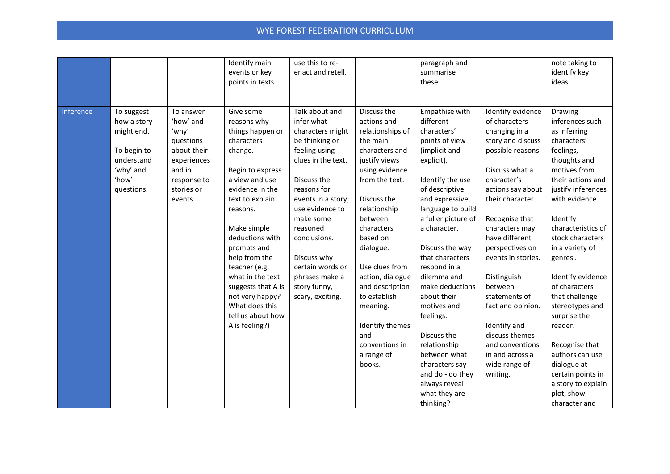|           |                                                                                                          |                                                                                                                              | Identify main<br>events or key<br>points in texts.                                                                                                                                                                                                                                                                                                                     | use this to re-<br>enact and retell.                                                                                                                                                                                                                                                                               |                                                                                                                                                                                                                                                                                                                                                                             | paragraph and<br>summarise<br>these.                                                                                                                                                                                                                                                                                                                                                                                                                                                   |                                                                                                                                                                                                                                                                                                                                                                                                                                             | note taking to<br>identify key<br>ideas.                                                                                                                                                                                                                                                                                                                                                                                                                                                           |
|-----------|----------------------------------------------------------------------------------------------------------|------------------------------------------------------------------------------------------------------------------------------|------------------------------------------------------------------------------------------------------------------------------------------------------------------------------------------------------------------------------------------------------------------------------------------------------------------------------------------------------------------------|--------------------------------------------------------------------------------------------------------------------------------------------------------------------------------------------------------------------------------------------------------------------------------------------------------------------|-----------------------------------------------------------------------------------------------------------------------------------------------------------------------------------------------------------------------------------------------------------------------------------------------------------------------------------------------------------------------------|----------------------------------------------------------------------------------------------------------------------------------------------------------------------------------------------------------------------------------------------------------------------------------------------------------------------------------------------------------------------------------------------------------------------------------------------------------------------------------------|---------------------------------------------------------------------------------------------------------------------------------------------------------------------------------------------------------------------------------------------------------------------------------------------------------------------------------------------------------------------------------------------------------------------------------------------|----------------------------------------------------------------------------------------------------------------------------------------------------------------------------------------------------------------------------------------------------------------------------------------------------------------------------------------------------------------------------------------------------------------------------------------------------------------------------------------------------|
| Inference | To suggest<br>how a story<br>might end.<br>To begin to<br>understand<br>'why' and<br>'how'<br>questions. | To answer<br>'how' and<br>'why'<br>questions<br>about their<br>experiences<br>and in<br>response to<br>stories or<br>events. | Give some<br>reasons why<br>things happen or<br>characters<br>change.<br>Begin to express<br>a view and use<br>evidence in the<br>text to explain<br>reasons.<br>Make simple<br>deductions with<br>prompts and<br>help from the<br>teacher (e.g.<br>what in the text<br>suggests that A is<br>not very happy?<br>What does this<br>tell us about how<br>A is feeling?) | Talk about and<br>infer what<br>characters might<br>be thinking or<br>feeling using<br>clues in the text.<br>Discuss the<br>reasons for<br>events in a story;<br>use evidence to<br>make some<br>reasoned<br>conclusions.<br>Discuss why<br>certain words or<br>phrases make a<br>story funny,<br>scary, exciting. | Discuss the<br>actions and<br>relationships of<br>the main<br>characters and<br>justify views<br>using evidence<br>from the text.<br>Discuss the<br>relationship<br>between<br>characters<br>based on<br>dialogue.<br>Use clues from<br>action, dialogue<br>and description<br>to establish<br>meaning.<br>Identify themes<br>and<br>conventions in<br>a range of<br>books. | Empathise with<br>different<br>characters'<br>points of view<br>(implicit and<br>explicit).<br>Identify the use<br>of descriptive<br>and expressive<br>language to build<br>a fuller picture of<br>a character.<br>Discuss the way<br>that characters<br>respond in a<br>dilemma and<br>make deductions<br>about their<br>motives and<br>feelings.<br>Discuss the<br>relationship<br>between what<br>characters say<br>and do - do they<br>always reveal<br>what they are<br>thinking? | Identify evidence<br>of characters<br>changing in a<br>story and discuss<br>possible reasons.<br>Discuss what a<br>character's<br>actions say about<br>their character.<br>Recognise that<br>characters may<br>have different<br>perspectives on<br>events in stories.<br>Distinguish<br>between<br>statements of<br>fact and opinion.<br>Identify and<br>discuss themes<br>and conventions<br>in and across a<br>wide range of<br>writing. | <b>Drawing</b><br>inferences such<br>as inferring<br>characters'<br>feelings,<br>thoughts and<br>motives from<br>their actions and<br>justify inferences<br>with evidence.<br>Identify<br>characteristics of<br>stock characters<br>in a variety of<br>genres.<br>Identify evidence<br>of characters<br>that challenge<br>stereotypes and<br>surprise the<br>reader.<br>Recognise that<br>authors can use<br>dialogue at<br>certain points in<br>a story to explain<br>plot, show<br>character and |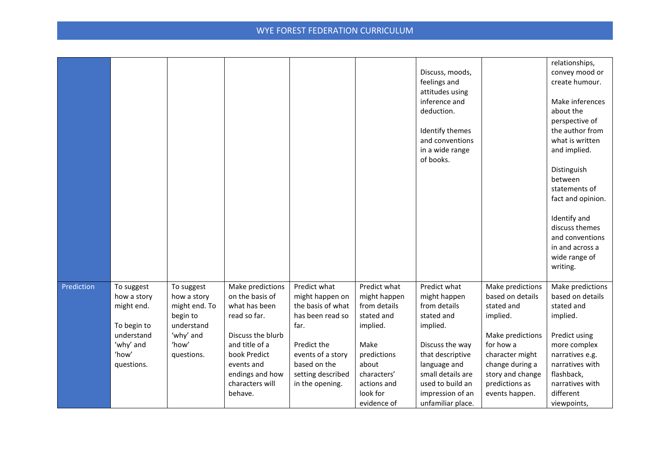|            |                                                                      |                                                                                   |                                                                                               |                                                                                          |                                                                                       | Discuss, moods,<br>feelings and<br>attitudes using<br>inference and<br>deduction.<br>Identify themes<br>and conventions<br>in a wide range<br>of books. |                                                                                                         | relationships,<br>convey mood or<br>create humour.<br>Make inferences<br>about the<br>perspective of<br>the author from<br>what is written<br>and implied.<br>Distinguish<br>between<br>statements of<br>fact and opinion.<br>Identify and<br>discuss themes<br>and conventions<br>in and across a<br>wide range of<br>writing. |
|------------|----------------------------------------------------------------------|-----------------------------------------------------------------------------------|-----------------------------------------------------------------------------------------------|------------------------------------------------------------------------------------------|---------------------------------------------------------------------------------------|---------------------------------------------------------------------------------------------------------------------------------------------------------|---------------------------------------------------------------------------------------------------------|---------------------------------------------------------------------------------------------------------------------------------------------------------------------------------------------------------------------------------------------------------------------------------------------------------------------------------|
| Prediction | To suggest<br>how a story<br>might end.<br>To begin to<br>understand | To suggest<br>how a story<br>might end. To<br>begin to<br>understand<br>'why' and | Make predictions<br>on the basis of<br>what has been<br>read so far.<br>Discuss the blurb     | Predict what<br>might happen on<br>the basis of what<br>has been read so<br>far.         | Predict what<br>might happen<br>from details<br>stated and<br>implied.                | Predict what<br>might happen<br>from details<br>stated and<br>implied.                                                                                  | Make predictions<br>based on details<br>stated and<br>implied.<br>Make predictions                      | Make predictions<br>based on details<br>stated and<br>implied.<br>Predict using                                                                                                                                                                                                                                                 |
|            | 'why' and<br>'how'<br>questions.                                     | 'how'<br>questions.                                                               | and title of a<br>book Predict<br>events and<br>endings and how<br>characters will<br>behave. | Predict the<br>events of a story<br>based on the<br>setting described<br>in the opening. | Make<br>predictions<br>about<br>characters'<br>actions and<br>look for<br>evidence of | Discuss the way<br>that descriptive<br>language and<br>small details are<br>used to build an<br>impression of an<br>unfamiliar place.                   | for how a<br>character might<br>change during a<br>story and change<br>predictions as<br>events happen. | more complex<br>narratives e.g.<br>narratives with<br>flashback,<br>narratives with<br>different<br>viewpoints,                                                                                                                                                                                                                 |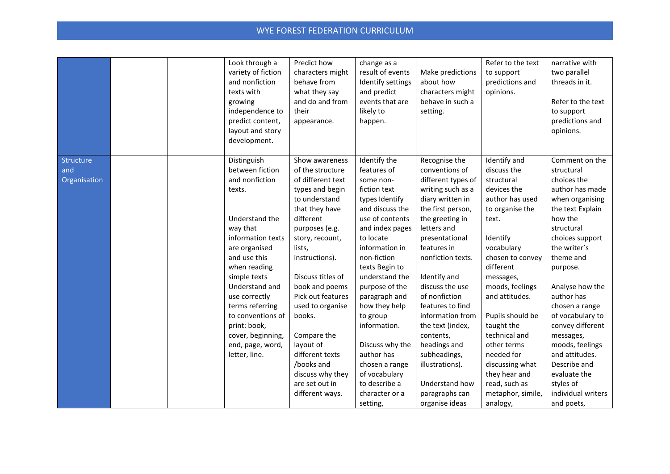| Structure<br>Show awareness<br>between fiction<br>of the structure<br>features of<br>discuss the<br>and<br>conventions of<br>structural<br>and nonfiction<br>of different text<br>choices the<br>Organisation<br>different types of<br>structural<br>some non-<br>types and begin<br>fiction text<br>writing such as a<br>devices the<br>author has made<br>texts.<br>to understand<br>diary written in<br>author has used<br>when organising<br>types Identify<br>that they have<br>and discuss the<br>the first person,<br>to organise the<br>the text Explain<br>different<br>how the<br>Understand the<br>use of contents<br>the greeting in<br>text.<br>way that<br>purposes (e.g.<br>and index pages<br>letters and<br>structural<br>information texts<br>to locate<br>presentational<br>Identify<br>choices support<br>story, recount,<br>features in<br>vocabulary<br>the writer's<br>lists,<br>information in<br>are organised<br>and use this<br>non-fiction<br>nonfiction texts.<br>chosen to convey<br>theme and<br>instructions).<br>when reading<br>different<br>texts Begin to<br>purpose.<br>Discuss titles of<br>understand the<br>simple texts<br>Identify and<br>messages,<br>Understand and<br>book and poems<br>discuss the use<br>moods, feelings<br>purpose of the<br>Analyse how the<br>Pick out features<br>of nonfiction<br>and attitudes.<br>author has<br>use correctly<br>paragraph and<br>terms referring<br>used to organise<br>how they help<br>features to find<br>chosen a range<br>to conventions of<br>books.<br>information from<br>Pupils should be<br>of vocabulary to<br>to group<br>information.<br>convey different<br>print: book,<br>the text (index,<br>taught the |  | Look through a<br>variety of fiction<br>and nonfiction<br>texts with<br>growing<br>independence to<br>predict content,<br>layout and story<br>development. | Predict how<br>characters might<br>behave from<br>what they say<br>and do and from<br>their<br>appearance. | change as a<br>result of events<br>Identify settings<br>and predict<br>events that are<br>likely to<br>happen. | Make predictions<br>about how<br>characters might<br>behave in such a<br>setting. | Refer to the text<br>to support<br>predictions and<br>opinions. | narrative with<br>two parallel<br>threads in it.<br>Refer to the text<br>to support<br>predictions and<br>opinions. |
|-----------------------------------------------------------------------------------------------------------------------------------------------------------------------------------------------------------------------------------------------------------------------------------------------------------------------------------------------------------------------------------------------------------------------------------------------------------------------------------------------------------------------------------------------------------------------------------------------------------------------------------------------------------------------------------------------------------------------------------------------------------------------------------------------------------------------------------------------------------------------------------------------------------------------------------------------------------------------------------------------------------------------------------------------------------------------------------------------------------------------------------------------------------------------------------------------------------------------------------------------------------------------------------------------------------------------------------------------------------------------------------------------------------------------------------------------------------------------------------------------------------------------------------------------------------------------------------------------------------------------------------------------------------------------------------------------------------------|--|------------------------------------------------------------------------------------------------------------------------------------------------------------|------------------------------------------------------------------------------------------------------------|----------------------------------------------------------------------------------------------------------------|-----------------------------------------------------------------------------------|-----------------------------------------------------------------|---------------------------------------------------------------------------------------------------------------------|
| Compare the<br>technical and<br>cover, beginning,<br>contents,<br>messages,<br>layout of<br>other terms<br>moods, feelings<br>end, page, word,<br>Discuss why the<br>headings and<br>different texts<br>needed for<br>letter, line.<br>author has<br>subheadings,<br>and attitudes.<br>discussing what<br>Describe and<br>/books and<br>chosen a range<br>illustrations).<br>they hear and<br>discuss why they<br>of vocabulary<br>evaluate the<br>to describe a<br>read, such as<br>styles of<br>are set out in<br>Understand how<br>character or a<br>metaphor, simile,<br>different ways.<br>paragraphs can<br>setting,<br>organise ideas<br>analogy,<br>and poets,                                                                                                                                                                                                                                                                                                                                                                                                                                                                                                                                                                                                                                                                                                                                                                                                                                                                                                                                                                                                                                          |  | Distinguish                                                                                                                                                |                                                                                                            | Identify the                                                                                                   | Recognise the                                                                     | Identify and                                                    | Comment on the<br>individual writers                                                                                |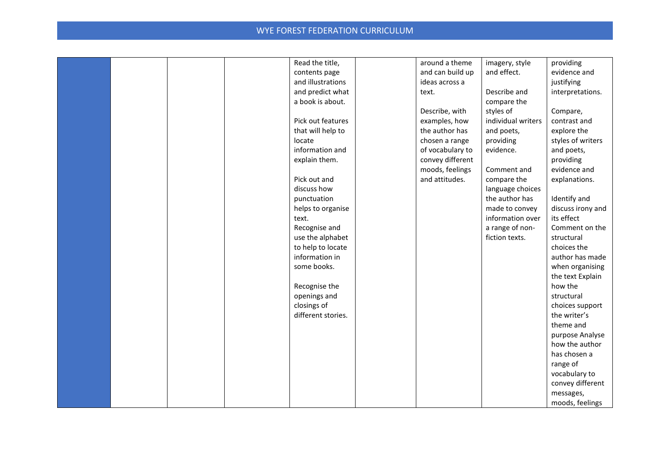|  |  | Read the title,    | around a theme   | imagery, style     | providing         |
|--|--|--------------------|------------------|--------------------|-------------------|
|  |  | contents page      | and can build up | and effect.        | evidence and      |
|  |  | and illustrations  | ideas across a   |                    | justifying        |
|  |  | and predict what   | text.            | Describe and       | interpretations.  |
|  |  | a book is about.   |                  | compare the        |                   |
|  |  |                    | Describe, with   | styles of          | Compare,          |
|  |  | Pick out features  | examples, how    | individual writers | contrast and      |
|  |  | that will help to  | the author has   | and poets,         | explore the       |
|  |  | locate             | chosen a range   | providing          | styles of writers |
|  |  | information and    | of vocabulary to | evidence.          | and poets,        |
|  |  | explain them.      | convey different |                    | providing         |
|  |  |                    | moods, feelings  | Comment and        | evidence and      |
|  |  | Pick out and       | and attitudes.   | compare the        | explanations.     |
|  |  | discuss how        |                  | language choices   |                   |
|  |  | punctuation        |                  | the author has     | Identify and      |
|  |  | helps to organise  |                  | made to convey     | discuss irony and |
|  |  | text.              |                  | information over   | its effect        |
|  |  | Recognise and      |                  | a range of non-    | Comment on the    |
|  |  | use the alphabet   |                  | fiction texts.     | structural        |
|  |  | to help to locate  |                  |                    | choices the       |
|  |  | information in     |                  |                    | author has made   |
|  |  | some books.        |                  |                    | when organising   |
|  |  |                    |                  |                    | the text Explain  |
|  |  | Recognise the      |                  |                    | how the           |
|  |  | openings and       |                  |                    | structural        |
|  |  | closings of        |                  |                    | choices support   |
|  |  | different stories. |                  |                    | the writer's      |
|  |  |                    |                  |                    | theme and         |
|  |  |                    |                  |                    | purpose Analyse   |
|  |  |                    |                  |                    | how the author    |
|  |  |                    |                  |                    | has chosen a      |
|  |  |                    |                  |                    | range of          |
|  |  |                    |                  |                    | vocabulary to     |
|  |  |                    |                  |                    | convey different  |
|  |  |                    |                  |                    | messages,         |
|  |  |                    |                  |                    | moods, feelings   |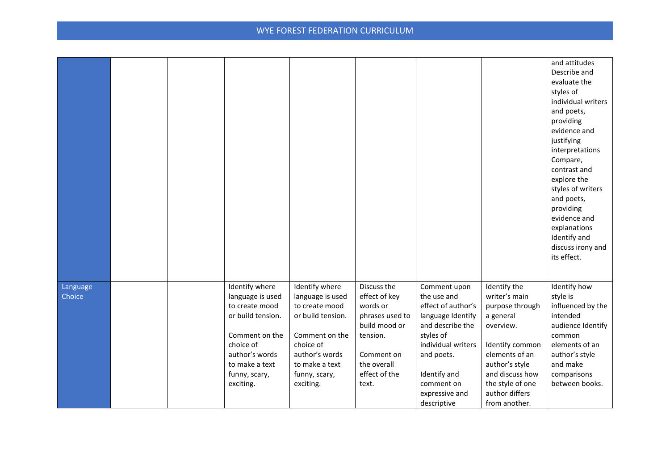|                    |  |                                                                                                                                                                            |                                                                                                                                                                            |                                                                                                                                                 |                                                                                                                                                                                                            |                                                                                                                                                                                                             | and attitudes<br>Describe and<br>evaluate the<br>styles of<br>individual writers<br>and poets,<br>providing<br>evidence and<br>justifying<br>interpretations<br>Compare,<br>contrast and<br>explore the<br>styles of writers<br>and poets,<br>providing<br>evidence and<br>explanations<br>Identify and<br>discuss irony and<br>its effect. |
|--------------------|--|----------------------------------------------------------------------------------------------------------------------------------------------------------------------------|----------------------------------------------------------------------------------------------------------------------------------------------------------------------------|-------------------------------------------------------------------------------------------------------------------------------------------------|------------------------------------------------------------------------------------------------------------------------------------------------------------------------------------------------------------|-------------------------------------------------------------------------------------------------------------------------------------------------------------------------------------------------------------|---------------------------------------------------------------------------------------------------------------------------------------------------------------------------------------------------------------------------------------------------------------------------------------------------------------------------------------------|
| Language<br>Choice |  | Identify where<br>language is used<br>to create mood<br>or build tension.<br>Comment on the<br>choice of<br>author's words<br>to make a text<br>funny, scary,<br>exciting. | Identify where<br>language is used<br>to create mood<br>or build tension.<br>Comment on the<br>choice of<br>author's words<br>to make a text<br>funny, scary,<br>exciting. | Discuss the<br>effect of key<br>words or<br>phrases used to<br>build mood or<br>tension.<br>Comment on<br>the overall<br>effect of the<br>text. | Comment upon<br>the use and<br>effect of author's<br>language Identify<br>and describe the<br>styles of<br>individual writers<br>and poets.<br>Identify and<br>comment on<br>expressive and<br>descriptive | Identify the<br>writer's main<br>purpose through<br>a general<br>overview.<br>Identify common<br>elements of an<br>author's style<br>and discuss how<br>the style of one<br>author differs<br>from another. | Identify how<br>style is<br>influenced by the<br>intended<br>audience Identify<br>common<br>elements of an<br>author's style<br>and make<br>comparisons<br>between books.                                                                                                                                                                   |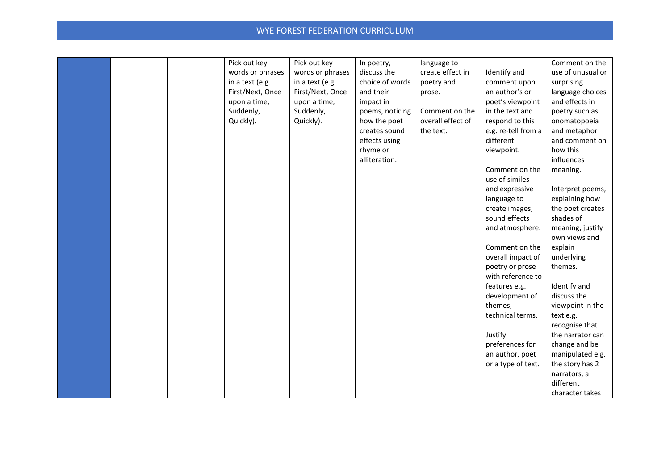|  | Pick out key     | Pick out key     | In poetry,      | language to       |                     | Comment on the    |
|--|------------------|------------------|-----------------|-------------------|---------------------|-------------------|
|  | words or phrases | words or phrases | discuss the     | create effect in  | Identify and        | use of unusual or |
|  | in a text (e.g.  | in a text (e.g.  | choice of words | poetry and        | comment upon        | surprising        |
|  | First/Next, Once | First/Next, Once | and their       | prose.            | an author's or      | language choices  |
|  | upon a time,     | upon a time,     | impact in       |                   | poet's viewpoint    | and effects in    |
|  | Suddenly,        | Suddenly,        | poems, noticing | Comment on the    | in the text and     | poetry such as    |
|  | Quickly).        | Quickly).        | how the poet    | overall effect of | respond to this     | onomatopoeia      |
|  |                  |                  | creates sound   | the text.         | e.g. re-tell from a | and metaphor      |
|  |                  |                  | effects using   |                   | different           | and comment on    |
|  |                  |                  | rhyme or        |                   | viewpoint.          | how this          |
|  |                  |                  | alliteration.   |                   |                     | influences        |
|  |                  |                  |                 |                   | Comment on the      | meaning.          |
|  |                  |                  |                 |                   | use of similes      |                   |
|  |                  |                  |                 |                   | and expressive      | Interpret poems,  |
|  |                  |                  |                 |                   | language to         | explaining how    |
|  |                  |                  |                 |                   | create images,      | the poet creates  |
|  |                  |                  |                 |                   | sound effects       | shades of         |
|  |                  |                  |                 |                   | and atmosphere.     | meaning; justify  |
|  |                  |                  |                 |                   |                     | own views and     |
|  |                  |                  |                 |                   | Comment on the      | explain           |
|  |                  |                  |                 |                   | overall impact of   | underlying        |
|  |                  |                  |                 |                   | poetry or prose     | themes.           |
|  |                  |                  |                 |                   | with reference to   |                   |
|  |                  |                  |                 |                   | features e.g.       | Identify and      |
|  |                  |                  |                 |                   | development of      | discuss the       |
|  |                  |                  |                 |                   | themes,             | viewpoint in the  |
|  |                  |                  |                 |                   | technical terms.    | text e.g.         |
|  |                  |                  |                 |                   |                     | recognise that    |
|  |                  |                  |                 |                   | Justify             | the narrator can  |
|  |                  |                  |                 |                   | preferences for     | change and be     |
|  |                  |                  |                 |                   | an author, poet     | manipulated e.g.  |
|  |                  |                  |                 |                   | or a type of text.  | the story has 2   |
|  |                  |                  |                 |                   |                     | narrators, a      |
|  |                  |                  |                 |                   |                     | different         |
|  |                  |                  |                 |                   |                     | character takes   |